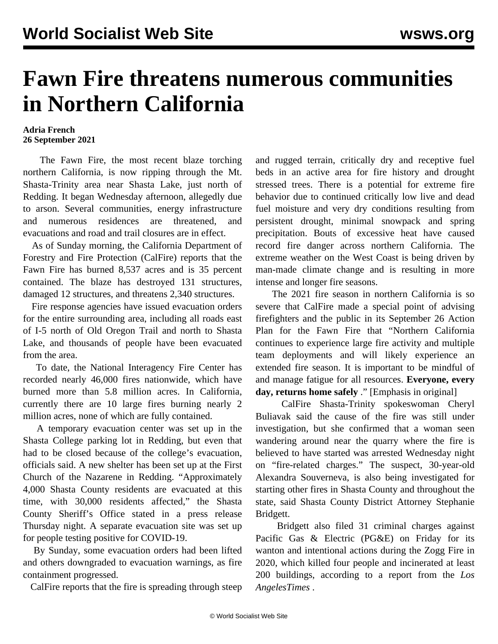## **Fawn Fire threatens numerous communities in Northern California**

## **Adria French 26 September 2021**

 The Fawn Fire, the most recent blaze torching northern California, is now ripping through the Mt. Shasta-Trinity area near Shasta Lake, just north of Redding. It began Wednesday afternoon, allegedly due to arson. Several communities, energy infrastructure and numerous residences are threatened, and evacuations and road and trail closures are in effect.

 As of Sunday morning, the California Department of Forestry and Fire Protection (CalFire) reports that the Fawn Fire has burned 8,537 acres and is 35 percent contained. The blaze has destroyed 131 structures, damaged 12 structures, and threatens 2,340 structures.

 Fire response agencies have issued evacuation orders for the entire surrounding area, including all roads east of I-5 north of Old Oregon Trail and north to Shasta Lake, and thousands of people have been evacuated from the area.

 To date, the National Interagency Fire Center has recorded nearly 46,000 fires nationwide, which have burned more than 5.8 million acres. In California, currently there are 10 large fires burning nearly 2 million acres, none of which are fully contained.

 A temporary evacuation center was set up in the Shasta College parking lot in Redding, but even that had to be closed because of the college's evacuation, officials said. A new shelter has been set up at the First Church of the Nazarene in Redding. "Approximately 4,000 Shasta County residents are evacuated at this time, with 30,000 residents affected," the Shasta County Sheriff's Office stated in a press release Thursday night. A separate evacuation site was set up for people testing positive for COVID-19.

 By Sunday, some evacuation orders had been lifted and others downgraded to evacuation warnings, as fire containment progressed.

CalFire reports that the fire is spreading through steep

and rugged terrain, critically dry and receptive fuel beds in an active area for fire history and drought stressed trees. There is a potential for extreme fire behavior due to continued critically low live and dead fuel moisture and very dry conditions resulting from persistent drought, minimal snowpack and spring precipitation. Bouts of excessive heat have caused record fire danger across northern California. The extreme weather on the West Coast is being driven by man-made climate change and is resulting in more intense and longer fire seasons.

 The 2021 fire season in northern California is so severe that CalFire made a special point of advising firefighters and the public in its September 26 Action Plan for the Fawn Fire that "Northern California continues to experience large fire activity and multiple team deployments and will likely experience an extended fire season. It is important to be mindful of and manage fatigue for all resources. **Everyone, every day, returns home safely** ." [Emphasis in original]

 CalFire Shasta-Trinity spokeswoman Cheryl Buliavak said the cause of the fire was still under investigation, but she confirmed that a woman seen wandering around near the quarry where the fire is believed to have started was arrested Wednesday night on "fire-related charges." The suspect, 30-year-old Alexandra Souverneva, is also being investigated for starting other fires in Shasta County and throughout the state, said Shasta County District Attorney Stephanie Bridgett.

 Bridgett also filed 31 criminal charges against Pacific Gas & Electric (PG&E) on Friday for its wanton and intentional actions during the Zogg Fire in 2020, which killed four people and incinerated at least 200 buildings, according to a report from the *Los AngelesTimes* .